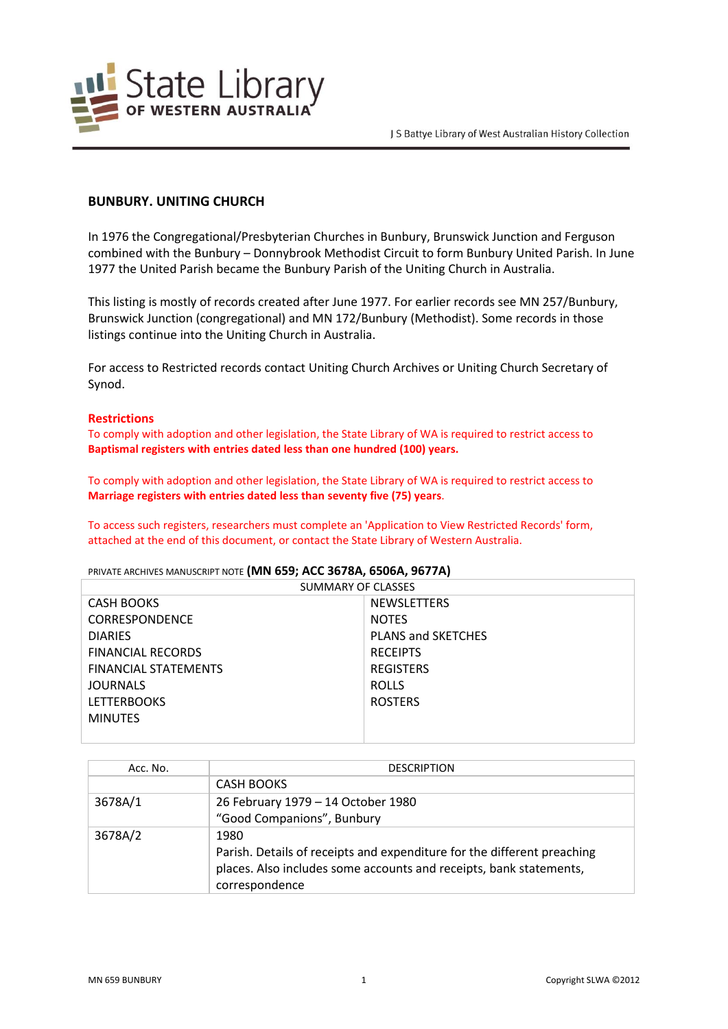

# **BUNBURY. UNITING CHURCH**

In 1976 the Congregational/Presbyterian Churches in Bunbury, Brunswick Junction and Ferguson combined with the Bunbury – Donnybrook Methodist Circuit to form Bunbury United Parish. In June 1977 the United Parish became the Bunbury Parish of the Uniting Church in Australia.

This listing is mostly of records created after June 1977. For earlier records see MN 257/Bunbury, Brunswick Junction (congregational) and MN 172/Bunbury (Methodist). Some records in those listings continue into the Uniting Church in Australia.

For access to Restricted records contact Uniting Church Archives or Uniting Church Secretary of Synod.

#### **Restrictions**

To comply with adoption and other legislation, the State Library of WA is required to restrict access to **Baptismal registers with entries dated less than one hundred (100) years.**

To comply with adoption and other legislation, the State Library of WA is required to restrict access to **Marriage registers with entries dated less than seventy five (75) years**.

To access such registers, researchers must complete an 'Application to View Restricted Records' form, attached at the end of this document, or contact the State Library of Western Australia.

PRIVATE ARCHIVES MANUSCRIPT NOTE **(MN 659; ACC 3678A, 6506A, 9677A)**

| SUMMARY OF CLASSES          |                           |  |
|-----------------------------|---------------------------|--|
| <b>CASH BOOKS</b>           | <b>NEWSLETTERS</b>        |  |
| <b>CORRESPONDENCE</b>       | <b>NOTES</b>              |  |
| <b>DIARIES</b>              | <b>PLANS and SKETCHES</b> |  |
| <b>FINANCIAL RECORDS</b>    | <b>RECEIPTS</b>           |  |
| <b>FINANCIAL STATEMENTS</b> | <b>REGISTERS</b>          |  |
| <b>JOURNALS</b>             | <b>ROLLS</b>              |  |
| <b>LETTERBOOKS</b>          | <b>ROSTERS</b>            |  |
| <b>MINUTES</b>              |                           |  |
|                             |                           |  |

| Acc. No. | <b>DESCRIPTION</b>                                                      |
|----------|-------------------------------------------------------------------------|
|          | <b>CASH BOOKS</b>                                                       |
| 3678A/1  | 26 February 1979 - 14 October 1980                                      |
|          | "Good Companions", Bunbury                                              |
| 3678A/2  | 1980                                                                    |
|          | Parish. Details of receipts and expenditure for the different preaching |
|          | places. Also includes some accounts and receipts, bank statements,      |
|          | correspondence                                                          |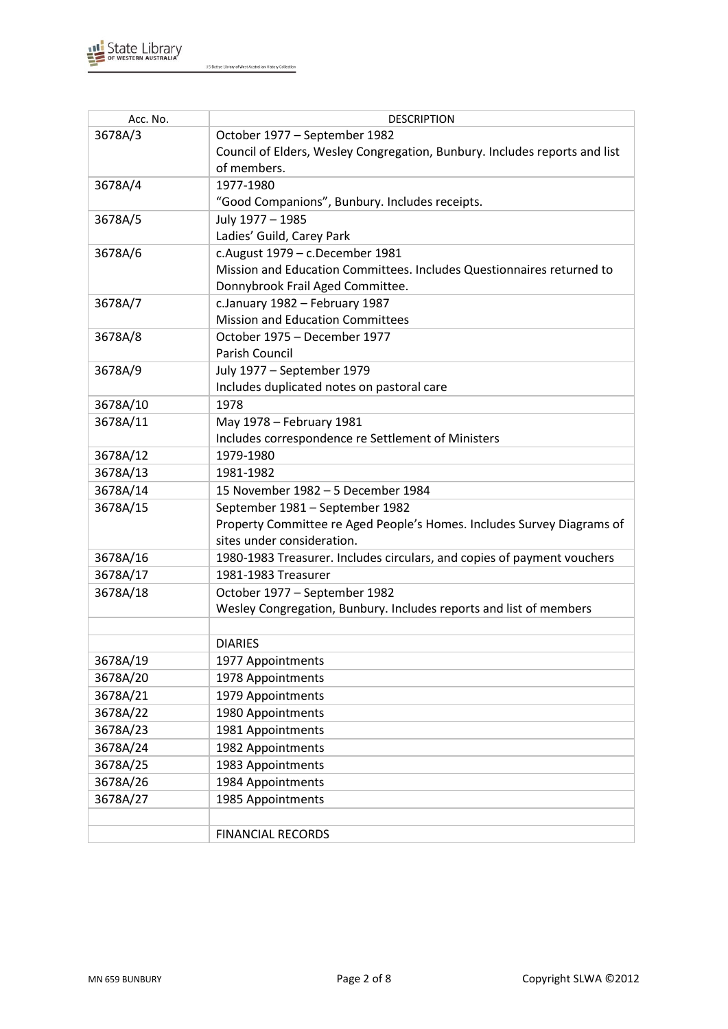

| Acc. No. | <b>DESCRIPTION</b>                                                         |  |
|----------|----------------------------------------------------------------------------|--|
| 3678A/3  | October 1977 - September 1982                                              |  |
|          | Council of Elders, Wesley Congregation, Bunbury. Includes reports and list |  |
|          | of members.                                                                |  |
| 3678A/4  | 1977-1980                                                                  |  |
|          | "Good Companions", Bunbury. Includes receipts.                             |  |
| 3678A/5  | July 1977 - 1985                                                           |  |
|          | Ladies' Guild, Carey Park                                                  |  |
| 3678A/6  | c.August 1979 - c.December 1981                                            |  |
|          | Mission and Education Committees. Includes Questionnaires returned to      |  |
|          | Donnybrook Frail Aged Committee.                                           |  |
| 3678A/7  | c.January 1982 - February 1987                                             |  |
|          | <b>Mission and Education Committees</b>                                    |  |
| 3678A/8  | October 1975 - December 1977                                               |  |
|          | Parish Council                                                             |  |
| 3678A/9  | July 1977 - September 1979                                                 |  |
|          | Includes duplicated notes on pastoral care                                 |  |
| 3678A/10 | 1978                                                                       |  |
| 3678A/11 | May 1978 - February 1981                                                   |  |
|          | Includes correspondence re Settlement of Ministers                         |  |
| 3678A/12 | 1979-1980                                                                  |  |
| 3678A/13 | 1981-1982                                                                  |  |
| 3678A/14 | 15 November 1982 - 5 December 1984                                         |  |
| 3678A/15 | September 1981 - September 1982                                            |  |
|          | Property Committee re Aged People's Homes. Includes Survey Diagrams of     |  |
|          | sites under consideration.                                                 |  |
| 3678A/16 | 1980-1983 Treasurer. Includes circulars, and copies of payment vouchers    |  |
| 3678A/17 | 1981-1983 Treasurer                                                        |  |
| 3678A/18 | October 1977 - September 1982                                              |  |
|          | Wesley Congregation, Bunbury. Includes reports and list of members         |  |
|          |                                                                            |  |
|          | <b>DIARIES</b>                                                             |  |
| 3678A/19 | 1977 Appointments                                                          |  |
| 3678A/20 | 1978 Appointments                                                          |  |
| 3678A/21 | 1979 Appointments                                                          |  |
| 3678A/22 | 1980 Appointments                                                          |  |
| 3678A/23 | 1981 Appointments                                                          |  |
| 3678A/24 | 1982 Appointments                                                          |  |
| 3678A/25 | 1983 Appointments                                                          |  |
| 3678A/26 | 1984 Appointments                                                          |  |
| 3678A/27 | 1985 Appointments                                                          |  |
|          |                                                                            |  |
|          | <b>FINANCIAL RECORDS</b>                                                   |  |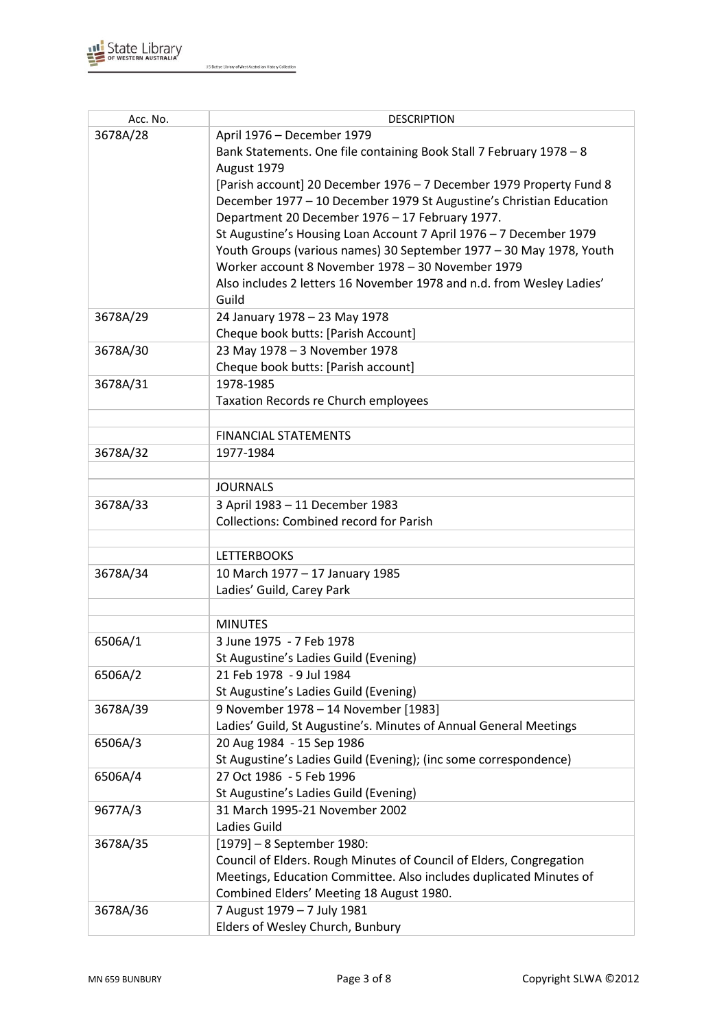

| Acc. No. | <b>DESCRIPTION</b>                                                                           |
|----------|----------------------------------------------------------------------------------------------|
| 3678A/28 | April 1976 - December 1979                                                                   |
|          | Bank Statements. One file containing Book Stall 7 February 1978 - 8                          |
|          | August 1979                                                                                  |
|          | [Parish account] 20 December 1976 - 7 December 1979 Property Fund 8                          |
|          | December 1977 - 10 December 1979 St Augustine's Christian Education                          |
|          | Department 20 December 1976 - 17 February 1977.                                              |
|          | St Augustine's Housing Loan Account 7 April 1976 - 7 December 1979                           |
|          | Youth Groups (various names) 30 September 1977 - 30 May 1978, Youth                          |
|          | Worker account 8 November 1978 - 30 November 1979                                            |
|          | Also includes 2 letters 16 November 1978 and n.d. from Wesley Ladies'                        |
|          | Guild                                                                                        |
| 3678A/29 | 24 January 1978 - 23 May 1978                                                                |
|          | Cheque book butts: [Parish Account]                                                          |
| 3678A/30 | 23 May 1978 - 3 November 1978                                                                |
|          | Cheque book butts: [Parish account]                                                          |
| 3678A/31 | 1978-1985                                                                                    |
|          | Taxation Records re Church employees                                                         |
|          |                                                                                              |
|          | <b>FINANCIAL STATEMENTS</b>                                                                  |
| 3678A/32 | 1977-1984                                                                                    |
|          |                                                                                              |
|          | <b>JOURNALS</b>                                                                              |
| 3678A/33 | 3 April 1983 - 11 December 1983                                                              |
|          | <b>Collections: Combined record for Parish</b>                                               |
|          |                                                                                              |
|          | <b>LETTERBOOKS</b>                                                                           |
| 3678A/34 | 10 March 1977 - 17 January 1985                                                              |
|          | Ladies' Guild, Carey Park                                                                    |
|          |                                                                                              |
|          | <b>MINUTES</b>                                                                               |
| 6506A/1  | 3 June 1975 - 7 Feb 1978                                                                     |
|          | St Augustine's Ladies Guild (Evening)                                                        |
| 6506A/2  | 21 Feb 1978 - 9 Jul 1984                                                                     |
|          | St Augustine's Ladies Guild (Evening)                                                        |
| 3678A/39 | 9 November 1978 - 14 November [1983]                                                         |
|          | Ladies' Guild, St Augustine's. Minutes of Annual General Meetings                            |
| 6506A/3  | 20 Aug 1984 - 15 Sep 1986                                                                    |
|          | St Augustine's Ladies Guild (Evening); (inc some correspondence)<br>27 Oct 1986 - 5 Feb 1996 |
| 6506A/4  | St Augustine's Ladies Guild (Evening)                                                        |
| 9677A/3  | 31 March 1995-21 November 2002                                                               |
|          | Ladies Guild                                                                                 |
| 3678A/35 | [1979] - 8 September 1980:                                                                   |
|          | Council of Elders. Rough Minutes of Council of Elders, Congregation                          |
|          | Meetings, Education Committee. Also includes duplicated Minutes of                           |
|          | Combined Elders' Meeting 18 August 1980.                                                     |
| 3678A/36 | 7 August 1979 - 7 July 1981                                                                  |
|          | Elders of Wesley Church, Bunbury                                                             |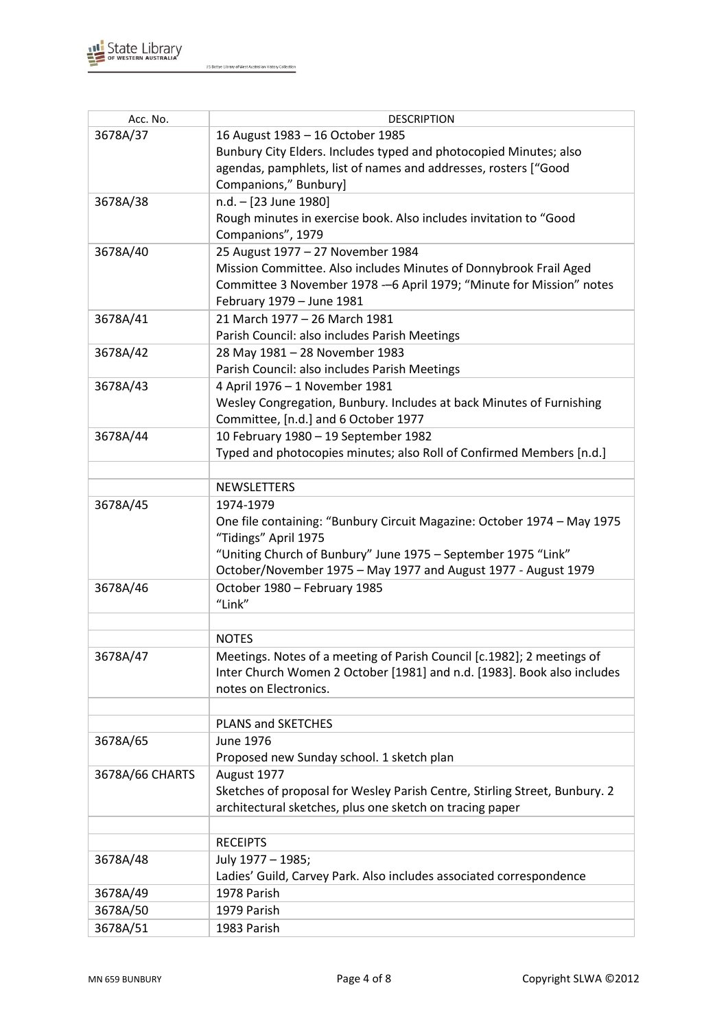

| Acc. No.        | <b>DESCRIPTION</b>                                                                   |
|-----------------|--------------------------------------------------------------------------------------|
| 3678A/37        | 16 August 1983 - 16 October 1985                                                     |
|                 | Bunbury City Elders. Includes typed and photocopied Minutes; also                    |
|                 | agendas, pamphlets, list of names and addresses, rosters ["Good                      |
|                 | Companions," Bunbury]                                                                |
| 3678A/38        | n.d. - [23 June 1980]                                                                |
|                 | Rough minutes in exercise book. Also includes invitation to "Good                    |
|                 | Companions", 1979                                                                    |
| 3678A/40        | 25 August 1977 - 27 November 1984                                                    |
|                 | Mission Committee. Also includes Minutes of Donnybrook Frail Aged                    |
|                 | Committee 3 November 1978 - 6 April 1979; "Minute for Mission" notes                 |
|                 | February 1979 - June 1981                                                            |
| 3678A/41        | 21 March 1977 - 26 March 1981                                                        |
|                 | Parish Council: also includes Parish Meetings                                        |
| 3678A/42        | 28 May 1981 - 28 November 1983                                                       |
|                 | Parish Council: also includes Parish Meetings                                        |
| 3678A/43        | 4 April 1976 - 1 November 1981                                                       |
|                 | Wesley Congregation, Bunbury. Includes at back Minutes of Furnishing                 |
|                 | Committee, [n.d.] and 6 October 1977                                                 |
| 3678A/44        | 10 February 1980 - 19 September 1982                                                 |
|                 | Typed and photocopies minutes; also Roll of Confirmed Members [n.d.]                 |
|                 |                                                                                      |
|                 | <b>NEWSLETTERS</b>                                                                   |
|                 |                                                                                      |
| 3678A/45        | 1974-1979<br>One file containing: "Bunbury Circuit Magazine: October 1974 - May 1975 |
|                 | "Tidings" April 1975                                                                 |
|                 | "Uniting Church of Bunbury" June 1975 - September 1975 "Link"                        |
|                 | October/November 1975 - May 1977 and August 1977 - August 1979                       |
| 3678A/46        | October 1980 - February 1985                                                         |
|                 | "Link"                                                                               |
|                 |                                                                                      |
|                 | <b>NOTES</b>                                                                         |
| 3678A/47        | Meetings. Notes of a meeting of Parish Council [c.1982]; 2 meetings of               |
|                 | Inter Church Women 2 October [1981] and n.d. [1983]. Book also includes              |
|                 | notes on Electronics.                                                                |
|                 |                                                                                      |
|                 | PLANS and SKETCHES                                                                   |
| 3678A/65        | June 1976                                                                            |
|                 | Proposed new Sunday school. 1 sketch plan                                            |
|                 |                                                                                      |
| 3678A/66 CHARTS | August 1977                                                                          |
|                 | Sketches of proposal for Wesley Parish Centre, Stirling Street, Bunbury. 2           |
|                 | architectural sketches, plus one sketch on tracing paper                             |
|                 |                                                                                      |
|                 | <b>RECEIPTS</b>                                                                      |
| 3678A/48        | July 1977 - 1985;                                                                    |
|                 | Ladies' Guild, Carvey Park. Also includes associated correspondence                  |
| 3678A/49        | 1978 Parish                                                                          |
| 3678A/50        | 1979 Parish                                                                          |
| 3678A/51        | 1983 Parish                                                                          |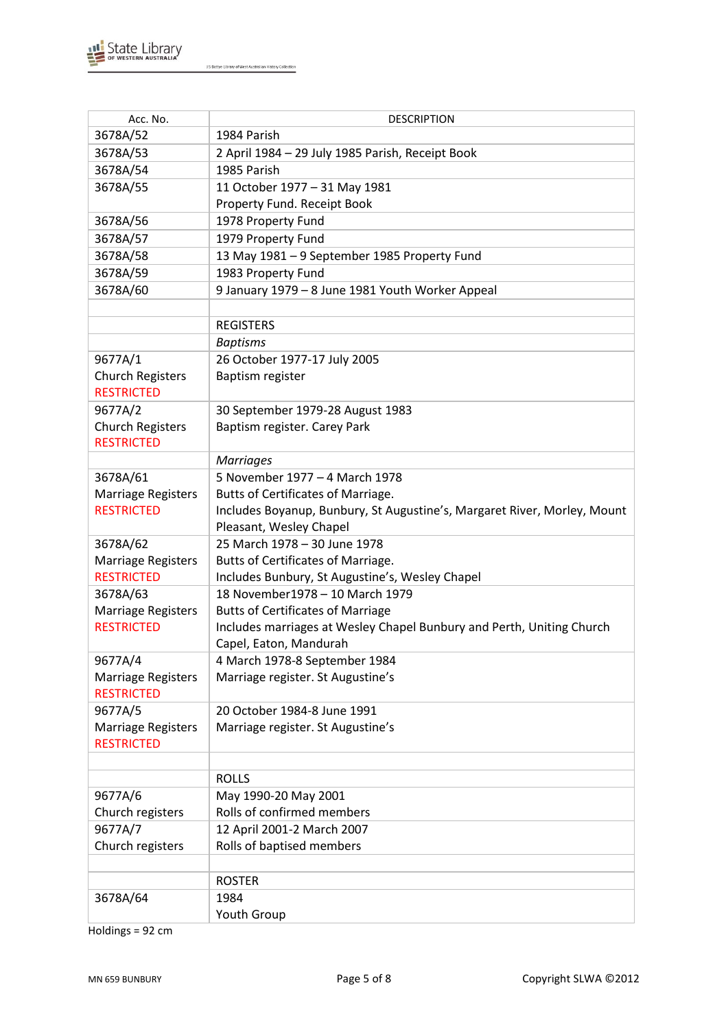

| Acc. No.                              | <b>DESCRIPTION</b>                                                       |
|---------------------------------------|--------------------------------------------------------------------------|
| 3678A/52                              | 1984 Parish                                                              |
| 3678A/53                              | 2 April 1984 - 29 July 1985 Parish, Receipt Book                         |
| 3678A/54                              | 1985 Parish                                                              |
| 3678A/55                              | 11 October 1977 - 31 May 1981                                            |
|                                       | Property Fund. Receipt Book                                              |
| 3678A/56                              | 1978 Property Fund                                                       |
| 3678A/57                              | 1979 Property Fund                                                       |
| 3678A/58                              | 13 May 1981 - 9 September 1985 Property Fund                             |
| 3678A/59                              | 1983 Property Fund                                                       |
| 3678A/60                              | 9 January 1979 - 8 June 1981 Youth Worker Appeal                         |
|                                       |                                                                          |
|                                       | <b>REGISTERS</b>                                                         |
|                                       | <b>Baptisms</b>                                                          |
| 9677A/1                               | 26 October 1977-17 July 2005                                             |
| <b>Church Registers</b>               | Baptism register                                                         |
| <b>RESTRICTED</b>                     |                                                                          |
| 9677A/2                               | 30 September 1979-28 August 1983                                         |
| <b>Church Registers</b>               | Baptism register. Carey Park                                             |
| <b>RESTRICTED</b>                     |                                                                          |
|                                       | <b>Marriages</b>                                                         |
| 3678A/61                              | 5 November 1977 - 4 March 1978                                           |
| Marriage Registers                    | Butts of Certificates of Marriage.                                       |
| <b>RESTRICTED</b>                     | Includes Boyanup, Bunbury, St Augustine's, Margaret River, Morley, Mount |
|                                       | Pleasant, Wesley Chapel<br>25 March 1978 - 30 June 1978                  |
| 3678A/62<br><b>Marriage Registers</b> | Butts of Certificates of Marriage.                                       |
| <b>RESTRICTED</b>                     | Includes Bunbury, St Augustine's, Wesley Chapel                          |
| 3678A/63                              | 18 November 1978 - 10 March 1979                                         |
| Marriage Registers                    | <b>Butts of Certificates of Marriage</b>                                 |
| <b>RESTRICTED</b>                     | Includes marriages at Wesley Chapel Bunbury and Perth, Uniting Church    |
|                                       | Capel, Eaton, Mandurah                                                   |
| 9677A/4                               | 4 March 1978-8 September 1984                                            |
| Marriage Registers                    | Marriage register. St Augustine's                                        |
| <b>RESTRICTED</b>                     |                                                                          |
| 9677A/5                               | 20 October 1984-8 June 1991                                              |
| Marriage Registers                    | Marriage register. St Augustine's                                        |
| <b>RESTRICTED</b>                     |                                                                          |
|                                       |                                                                          |
|                                       | <b>ROLLS</b>                                                             |
| 9677A/6                               | May 1990-20 May 2001                                                     |
| Church registers                      | Rolls of confirmed members                                               |
| 9677A/7                               | 12 April 2001-2 March 2007                                               |
| Church registers                      | Rolls of baptised members                                                |
|                                       |                                                                          |
|                                       | <b>ROSTER</b>                                                            |
| 3678A/64                              | 1984                                                                     |
|                                       | Youth Group                                                              |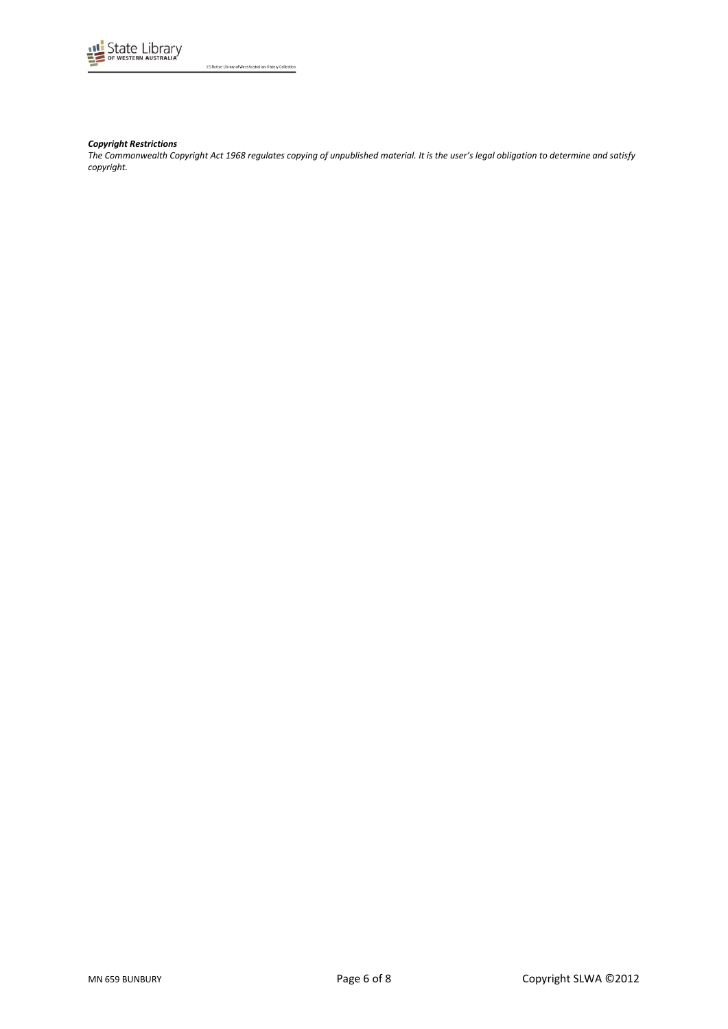

#### *Copyright Restrictions*

*The Commonwealth Copyright Act 1968 regulates copying of unpublished material. It is the user's legal obligation to determine and satisfy copyright.*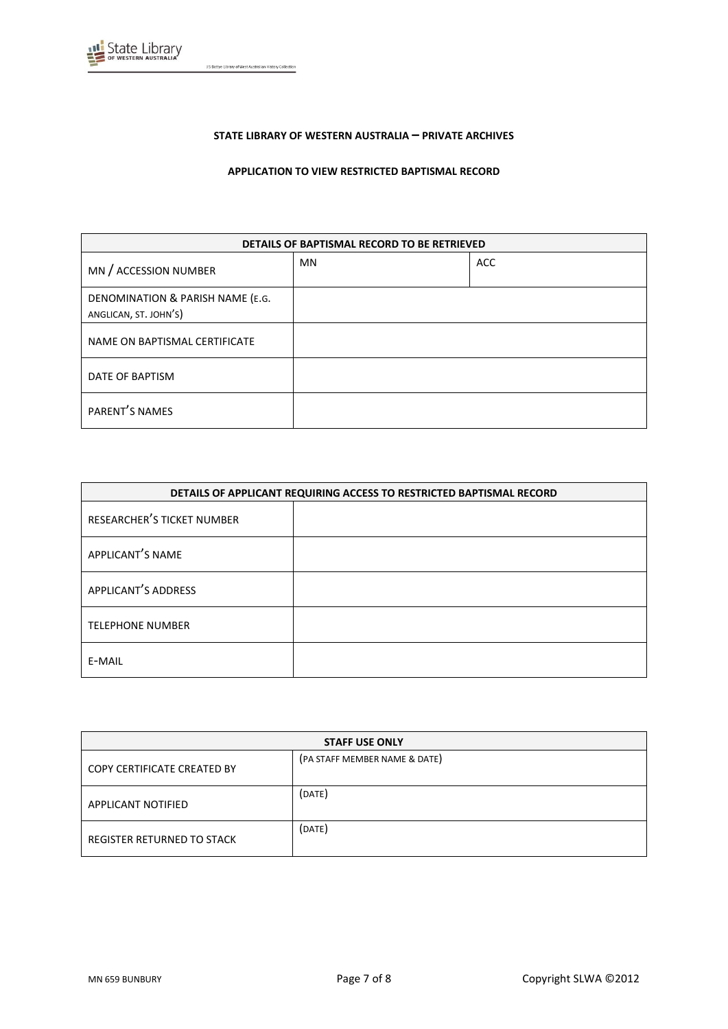

### **STATE LIBRARY OF WESTERN AUSTRALIA – PRIVATE ARCHIVES**

**APPLICATION TO VIEW RESTRICTED BAPTISMAL RECORD**

| DETAILS OF BAPTISMAL RECORD TO BE RETRIEVED               |           |            |
|-----------------------------------------------------------|-----------|------------|
| MN / ACCESSION NUMBER                                     | <b>MN</b> | <b>ACC</b> |
| DENOMINATION & PARISH NAME (E.G.<br>ANGLICAN, ST. JOHN'S) |           |            |
| NAME ON BAPTISMAL CERTIFICATE                             |           |            |
| DATE OF BAPTISM                                           |           |            |
| PARENT'S NAMES                                            |           |            |

| DETAILS OF APPLICANT REQUIRING ACCESS TO RESTRICTED BAPTISMAL RECORD |  |
|----------------------------------------------------------------------|--|
| RESEARCHER'S TICKET NUMBER                                           |  |
| APPLICANT'S NAME                                                     |  |
| APPLICANT'S ADDRESS                                                  |  |
| <b>TELEPHONE NUMBER</b>                                              |  |
| E-MAIL                                                               |  |

| <b>STAFF USE ONLY</b>       |                               |  |
|-----------------------------|-------------------------------|--|
| COPY CERTIFICATE CREATED BY | (PA STAFF MEMBER NAME & DATE) |  |
| APPLICANT NOTIFIED          | (DATE)                        |  |
| REGISTER RETURNED TO STACK  | (DATE)                        |  |